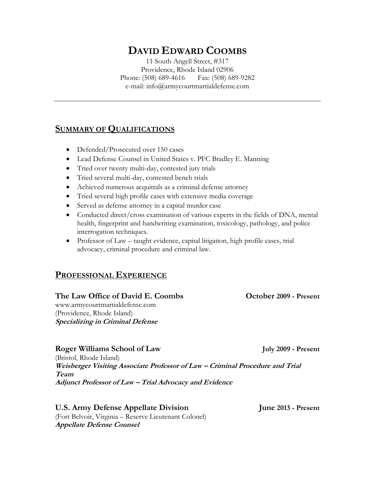# **DAVID EDWARD COOMBS**

11 South Angell Street, #317 Providence, Rhode Island 02906 Phone: (508) 689-4616 Fax: (508) 689-9282 e-mail: info@armycourtmartialdefense.com

# **SUMMARY OF QUALIFICATIONS**

- Defended/Prosecuted over 150 cases
- Lead Defense Counsel in United States v. PFC Bradley E. Manning
- Tried over twenty multi-day, contested jury trials
- Tried several multi-day, contested bench trials
- Achieved numerous acquittals as a criminal defense attorney
- Tried several high profile cases with extensive media coverage
- Served as defense attorney in a capital murder case
- Conducted direct/cross examination of various experts in the fields of DNA, mental health, fingerprint and handwriting examination, toxicology, pathology, and police interrogation techniques.
- Professor of Law taught evidence, capital litigation, high profile cases, trial advocacy, criminal procedure and criminal law.

# **PROFESSIONAL EXPERIENCE**

#### **The Law Office of David E. Coombs October 2009 - Present**

www.armycourtmartialdefense.com (Providence, Rhode Island) **Specializing in Criminal Defense**

**Roger Williams School of Law July 2009 - Present**

(Bristol, Rhode Island) **Weisberger Visiting Associate Professor of Law – Criminal Procedure and Trial Team Adjunct Professor of Law – Trial Advocacy and Evidence**

**U.S. Army Defense Appellate Division June 2013 - Present** (Fort Belvoir, Virginia – Reserve Lieutenant Colonel) **Appellate Defense Counsel**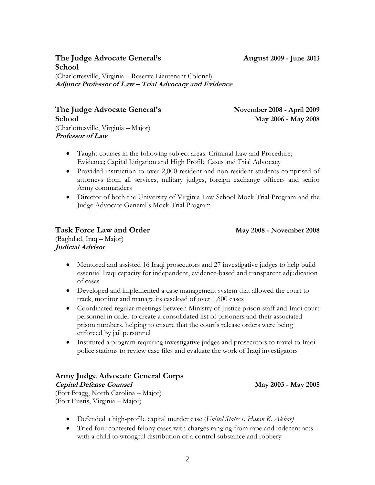2

# **The Judge Advocate General's August 2009 - June 2013 School**

(Charlottesville, Virginia – Reserve Lieutenant Colonel) **Adjunct Professor of Law – Trial Advocacy and Evidence**

**The Judge Advocate General's November 2008 - April 2009 School May 2006 - May 2008** (Charlottesville, Virginia – Major)

- Taught courses in the following subject areas: Criminal Law and Procedure; Evidence; Capital Litigation and High Profile Cases and Trial Advocacy
- Provided instruction to over 2,000 resident and non-resident students comprised of attorneys from all services, military judges, foreign exchange officers and senior Army commanders
- Director of both the University of Virginia Law School Mock Trial Program and the Judge Advocate General's Mock Trial Program

### **Task Force Law and Order May 2008 - November 2008**

(Baghdad, Iraq – Major) **Judicial Advisor**

**Professor of Law**

- Mentored and assisted 16 Iraqi prosecutors and 27 investigative judges to help build essential Iraqi capacity for independent, evidence-based and transparent adjudication of cases
- Developed and implemented a case management system that allowed the court to track, monitor and manage its caseload of over 1,600 cases
- Coordinated regular meetings between Ministry of Justice prison staff and Iraqi court personnel in order to create a consolidated list of prisoners and their associated prison numbers, helping to ensure that the court's release orders were being enforced by jail personnel
- Instituted a program requiring investigative judges and prosecutors to travel to Iraqi police stations to review case files and evaluate the work of Iraqi investigators

#### **Army Judge Advocate General Corps**

**Capital Defense Counsel May 2003 - May 2005**

(Fort Bragg, North Carolina – Major) (Fort Eustis, Virginia – Major)

- Defended a high-profile capital murder case (*United States v. Hasan K. Akbar)*
- Tried four contested felony cases with charges ranging from rape and indecent acts with a child to wrongful distribution of a control substance and robbery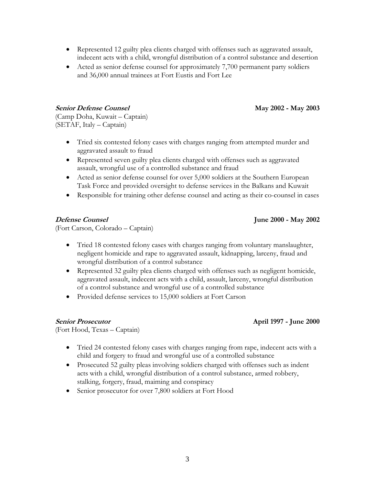Acted as senior defense counsel for approximately 7,700 permanent party soldiers and 36,000 annual trainees at Fort Eustis and Fort Lee

**Senior Defense Counsel May 2002 - May 2003**

(Camp Doha, Kuwait – Captain) (SETAF, Italy – Captain)

- Tried six contested felony cases with charges ranging from attempted murder and aggravated assault to fraud
- Represented seven guilty plea clients charged with offenses such as aggravated assault, wrongful use of a controlled substance and fraud
- Acted as senior defense counsel for over 5,000 soldiers at the Southern European Task Force and provided oversight to defense services in the Balkans and Kuwait
- Responsible for training other defense counsel and acting as their co-counsel in cases

**Defense Counsel June 2000 - May 2002**

(Fort Carson, Colorado – Captain)

- Tried 18 contested felony cases with charges ranging from voluntary manslaughter, negligent homicide and rape to aggravated assault, kidnapping, larceny, fraud and wrongful distribution of a control substance
- Represented 32 guilty plea clients charged with offenses such as negligent homicide, aggravated assault, indecent acts with a child, assault, larceny, wrongful distribution of a control substance and wrongful use of a controlled substance
- Provided defense services to 15,000 soldiers at Fort Carson

#### **Senior Prosecutor April 1997 - June 2000**

(Fort Hood, Texas – Captain)

- Tried 24 contested felony cases with charges ranging from rape, indecent acts with a child and forgery to fraud and wrongful use of a controlled substance
- Prosecuted 52 guilty pleas involving soldiers charged with offenses such as indent acts with a child, wrongful distribution of a control substance, armed robbery, stalking, forgery, fraud, maiming and conspiracy
- Senior prosecutor for over 7,800 soldiers at Fort Hood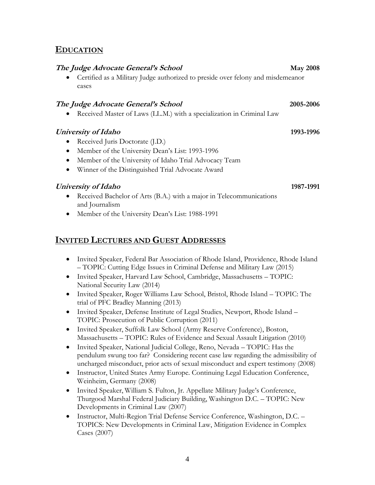#### **EDUCATION**

#### **The Judge Advocate General's School May 2008**

 Certified as a Military Judge authorized to preside over felony and misdemeanor cases

#### **The Judge Advocate General's School 2005-2006**

Received Master of Laws (LL.M.) with a specialization in Criminal Law

# **University of Idaho 1993-1996**

- Received Juris Doctorate (J.D.)
- Member of the University Dean's List: 1993-1996
- Member of the University of Idaho Trial Advocacy Team
- Winner of the Distinguished Trial Advocate Award

# **University of Idaho 1987-1991**

- Received Bachelor of Arts (B.A.) with a major in Telecommunications and Journalism
- Member of the University Dean's List: 1988-1991

# **INVITED LECTURES AND GUEST ADDRESSES**

- Invited Speaker, Federal Bar Association of Rhode Island, Providence, Rhode Island – TOPIC: Cutting Edge Issues in Criminal Defense and Military Law (2015)
- Invited Speaker, Harvard Law School, Cambridge, Massachusetts TOPIC: National Security Law (2014)
- Invited Speaker, Roger Williams Law School, Bristol, Rhode Island TOPIC: The trial of PFC Bradley Manning (2013)
- Invited Speaker, Defense Institute of Legal Studies, Newport, Rhode Island TOPIC: Prosecution of Public Corruption (2011)
- Invited Speaker, Suffolk Law School (Army Reserve Conference), Boston, Massachusetts – TOPIC: Rules of Evidence and Sexual Assault Litigation (2010)
- Invited Speaker, National Judicial College, Reno, Nevada TOPIC: Has the pendulum swung too far? Considering recent case law regarding the admissibility of uncharged misconduct, prior acts of sexual misconduct and expert testimony (2008)
- Instructor, United States Army Europe. Continuing Legal Education Conference, Weinheim, Germany (2008)
- Invited Speaker, William S. Fulton, Jr. Appellate Military Judge's Conference, Thurgood Marshal Federal Judiciary Building, Washington D.C. – TOPIC: New Developments in Criminal Law (2007)
- Instructor, Multi-Region Trial Defense Service Conference, Washington, D.C. TOPICS: New Developments in Criminal Law, Mitigation Evidence in Complex Cases (2007)